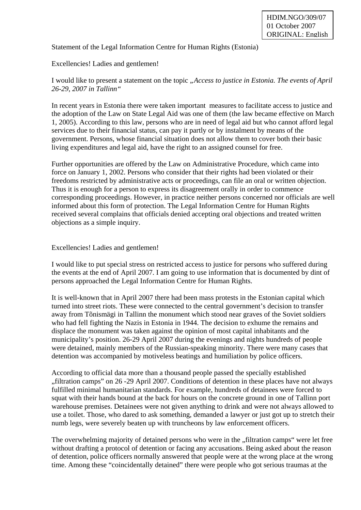Statement of the Legal Information Centre for Human Rights (Estonia)

## Excellencies! Ladies and gentlemen!

I would like to present a statement on the topic *"Access to justice in Estonia. The events of April 26-29, 2007 in Tallinn"* 

In recent years in Estonia there were taken important measures to facilitate access to justice and the adoption of the Law on State Legal Aid was one of them (the law became effective on March 1, 2005). According to this law, persons who are in need of legal aid but who cannot afford legal services due to their financial status, can pay it partly or by instalment by means of the government. Persons, whose financial situation does not allow them to cover both their basic living expenditures and legal aid, have the right to an assigned counsel for free.

Further opportunities are offered by the Law on Administrative Procedure, which came into force on January 1, 2002. Persons who consider that their rights had been violated or their freedoms restricted by administrative acts or proceedings, can file an oral or written objection. Thus it is enough for a person to express its disagreement orally in order to commence corresponding proceedings. However, in practice neither persons concerned nor officials are well informed about this form of protection. The Legal Information Centre for Human Rights received several complains that officials denied accepting oral objections and treated written objections as a simple inquiry.

Excellencies! Ladies and gentlemen!

I would like to put special stress on restricted access to justice for persons who suffered during the events at the end of April 2007. I am going to use information that is documented by dint of persons approached the Legal Information Centre for Human Rights.

It is well-known that in April 2007 there had been mass protests in the Estonian capital which turned into street riots. These were connected to the central government's decision to transfer away from Tõnismägi in Tallinn the monument which stood near graves of the Soviet soldiers who had fell fighting the Nazis in Estonia in 1944. The decision to exhume the remains and displace the monument was taken against the opinion of most capital inhabitants and the municipality's position. 26-29 April 2007 during the evenings and nights hundreds of people were detained, mainly members of the Russian-speaking minority. There were many cases that detention was accompanied by motiveless beatings and humiliation by police officers.

According to official data more than a thousand people passed the specially established "filtration camps" on 26 -29 April 2007. Conditions of detention in these places have not always fulfilled minimal humanitarian standards. For example, hundreds of detainees were forced to squat with their hands bound at the back for hours on the concrete ground in one of Tallinn port warehouse premises. Detainees were not given anything to drink and were not always allowed to use a toilet. Those, who dared to ask something, demanded a lawyer or just got up to stretch their numb legs, were severely beaten up with truncheons by law enforcement officers.

The overwhelming majority of detained persons who were in the "filtration camps" were let free without drafting a protocol of detention or facing any accusations. Being asked about the reason of detention, police officers normally answered that people were at the wrong place at the wrong time. Among these "coincidentally detained" there were people who got serious traumas at the